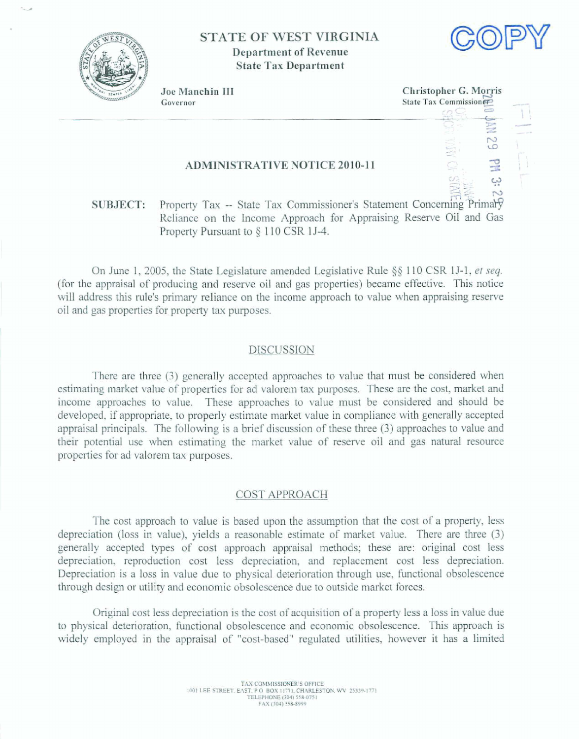

# **STATE OF WEST VIRGINIA Department of Revenue State Tax Department**



Joe Manchin III **Governor** 

**Christopher G. Morris State Tax Commission** 픊  $\circ$ 

## **ADMINISTRATIVE NOTICE 2010-11**

# **2;** *9* '2 \* *3 s:* **<sup>w</sup> SUBJECT:** Property Tax -- State Tax Commissioner's Statement Concerning Primary **Reliance on the** hcorne **Approach for Appraising** Reserve **Oil and Gas Property** Pursuant **to 9** 110 CSR **15-4.**

**On June 1, 2005, the State Legislature amended Legislative Rule**  $\S$  **110 CSR 1J-1,** *et seq.* (for **ll~e appraisal** of **producing** and reserve **oil and** gas **properties) became** effective. This notice **will address this rule's primary** reliance **on the** income **approach to** value when **appraising reserve**   $\alpha$  **1 and gas properties for property tax purposes.** 

#### **DISCUSSION**

There are three (3) generally accepted approaches to value that must be considered when **&hating market value** of **properties for ad valorem tax purposes.** These **are the cost, market and**  income **approaches to** value. These **approaches to value** must **be** considered and **should** be developed, **if** appropriate, to **properly** estimate market **value** in compliance with generally **accepted**  appraisal principals. The following is a brief discussion of these three (3) approaches to value and their **potential use when estimating the market vdue of reserve** oil **and** gas **natural resource**  properties far ad valorem **tax** purposes.

## COST APPROACH

The **cost approach to vdue is based upon the assumption that the cost of a property, less depreciation (loss in** value), yields a reasonable **estimate of** market **value.** Thore **are** three **(3)**  generally accepted types of cost approach appraisal methods; these are: original cost less **depreciation, reproduction cost less** depreciation, **and replacement cost less depreciation. Depreciation is a loss in value** due **to physical** deterioration through **use,** functional **obsolescence**  through design or utility **and** economic obsolescence due **to** outside market forces.

**Original cost less depreciation is** the **cost** of **acquisition** of a **property less a loss in value due to** physical deterioration, functional obsolescence and **economic** obsoIescence. **This** approach **is widely employed** in the **appraisal** of **"cost-based" reguIatd** utilities, however it **has** a **limited**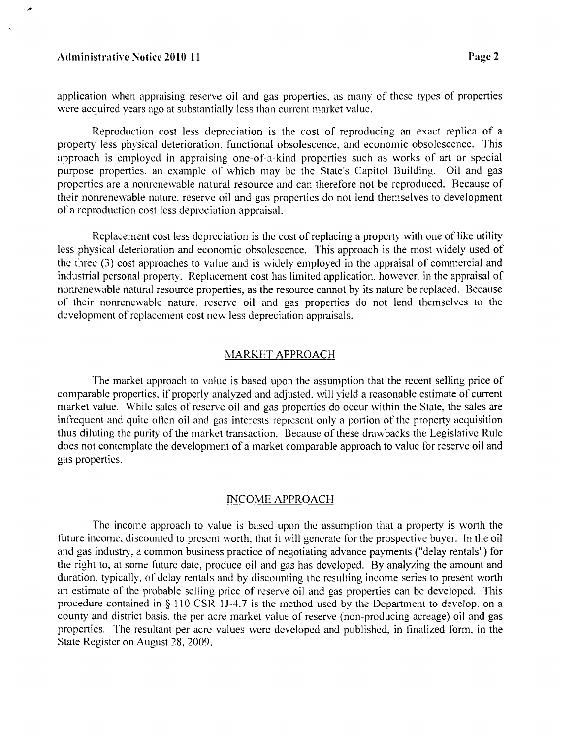#### Administrative Notice 2010-11 **Page 2 Page 2**

application when appraising reserve oil and gas properties, as many of these types of properties were acquired years ago at substantially less than currcnt markct value.

Reproduction cost less depreciation is the cost of reproducing an esact replica of a property less physical deterioration, functional obsolescence, and economic obsolescence. This approach is employed in appraising one-of-a-kind properties such as works of art or special purpose properties. an example of which may be the State's Capitol Building. Oil and gas properties are a nonrenewable natural resource and can therefore not be reproduced. Because of their nonrenewable nature, reserve oil and gas properties do not lend themselves to development ofa reproduction cost less depreciation appraisal.

Replacement cost less depreciation is thc cost of replacing a property with one of like utility less physical deterioration and economic obsolescence. This approach is the most uidely used of the three (3) cost approaches to value and is widely employed in the appraisal of commercial and industrial personal property. Replacement cost has limited application, however, in the appraisal of nonrenewable natural resource properties, as the resource cannot by its nature be replaced. Because of their nonrenewable nature, reserve oil and gas properties do not lend themselves to the development of replacement cost new less depreciation appraisals.

#### MARKET APPROACH

The market approach to value is based upon the assumption that the recent selling price of comparable properties, if properly analyzed and adjusted. will yield a reasonable estimate of current market value. While sales of reserve oil and gas properties do occur within the State, the sales are infrequent and quite often oil and gas interests represent only a portion of the property acquisition thus diluting the purity of the market transaction. Because of these drawbacks the Legislativc Rule does not contemplate the development of a market comparable approach to value for reserve oil and gas properties.

### INCOME APPROACH

The income approach to value is based upon thc assumption that a property is worth the future income, discounted to present worth, that it will generate for the prospective buyer. In the oil and gas industry, a common business practice of negotiating advance payments ("delay rentals") for the right to. at some future date, produce oil and gas has developed. By analyzing the amount and duration, typically, of delay rentals and by discounting the resulting income series to present worth an estimate of the probable selling price of reserve oil and gas properties can be developed. This procedure contained in § 110 CSR 1J-4.7 is the method used by the Department to develop. on a county and district basis, the per acre market value of reserve (non-producing acreage) oil and gas properties. The resultant per acre values were developed and published, in finalized form, in the State Register on August 28, 2009.